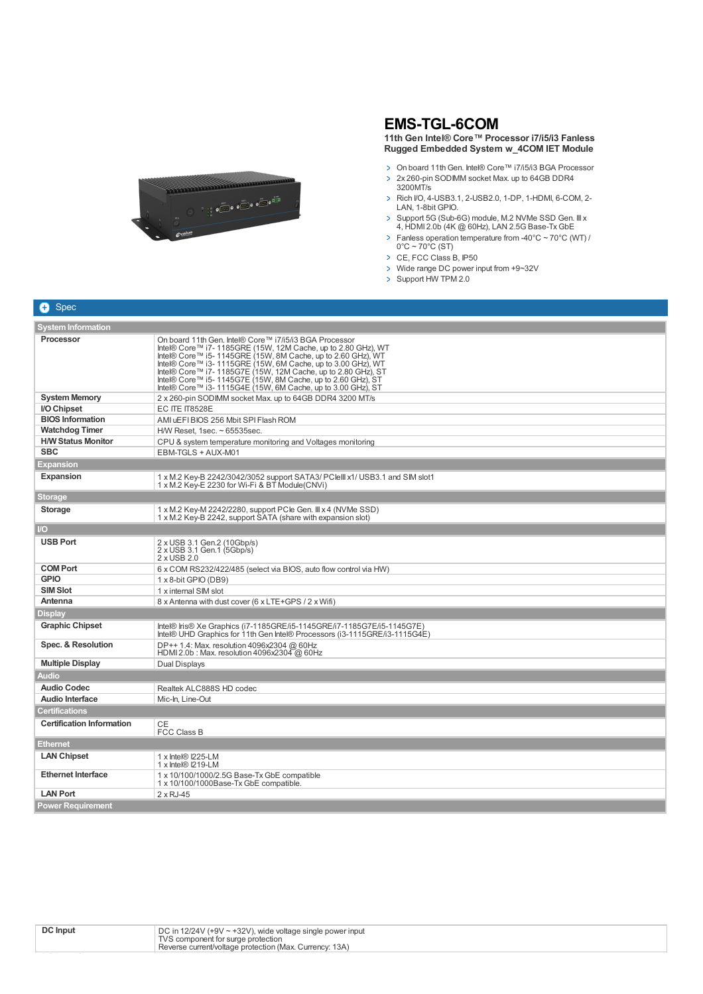

## **EMS-TGL-6COM**

**11th Gen Intel® Core™ Processor i7/i5/i3 Fanless Rugged Embedded System w\_4COM IET Module**

- On board 11th Gen. Intel® Core™ i7/i5/i3 BGA Processor > 2x 260-pin SODIMM socket Max. up to 64GB DDR4
- 3200MT/s > Rich I/O, 4-USB3.1, 2-USB2.0, 1-DP, 1-HDMI, 6-COM, 2-LAN, 1-8bit GPIO.
- Support 5G (Sub-6G) module, M.2 NVMe SSD Gen. III x 4, HDMI 2.0b (4K @ 60Hz), LAN 2.5G Base-Tx GbE
- Fanless operation temperature from -40°C ~ 70°C (WT) /  $0^{\circ}$ C ~ 70 $^{\circ}$ C (ST)
- CE, FCC Class B, IP50
- > Wide range DC power input from +9~32V
- Support HW TPM 2.0

| <b>System Information</b>        |                                                                                                                                                                                                                                                                                                                                                                                                                                                     |  |
|----------------------------------|-----------------------------------------------------------------------------------------------------------------------------------------------------------------------------------------------------------------------------------------------------------------------------------------------------------------------------------------------------------------------------------------------------------------------------------------------------|--|
| <b>Processor</b>                 | On board 11th Gen. Intel® Core™ i7/i5/i3 BGA Processor<br>Intel® Core™ i7-1185GRE (15W, 12M Cache, up to 2.80 GHz), WT<br>Intel® Core™ i5-1145GRE (15W, 8M Cache, up to 2.60 GHz), WT<br>Intel® Core™ i3-1115GRE (15W, 6M Cache, up to 3.00 GHz), WT<br>Intel® Core™ i7- 1185G7E (15W, 12M Cache, up to 2.80 GHz), ST<br>Intel® Core™ i5-1145G7E (15W, 8M Cache, up to 2.60 GHz), ST<br>Intel® Core™ i3-1115G4E (15W, 6M Cache, up to 3.00 GHz), ST |  |
| <b>System Memory</b>             | 2 x 260-pin SODIMM socket Max. up to 64GB DDR4 3200 MT/s                                                                                                                                                                                                                                                                                                                                                                                            |  |
| I/O Chipset                      | <b>EC ITE IT8528E</b>                                                                                                                                                                                                                                                                                                                                                                                                                               |  |
| <b>BIOS Information</b>          | AMI uEFIBIOS 256 Mbit SPI Flash ROM                                                                                                                                                                                                                                                                                                                                                                                                                 |  |
| <b>Watchdog Timer</b>            | H/W Reset, 1sec. ~ 65535sec.                                                                                                                                                                                                                                                                                                                                                                                                                        |  |
| <b>H/W Status Monitor</b>        | CPU & system temperature monitoring and Voltages monitoring                                                                                                                                                                                                                                                                                                                                                                                         |  |
| <b>SBC</b>                       | EBM-TGLS + AUX-M01                                                                                                                                                                                                                                                                                                                                                                                                                                  |  |
| Expansion                        |                                                                                                                                                                                                                                                                                                                                                                                                                                                     |  |
| <b>Expansion</b>                 | 1 x M.2 Key-B 2242/3042/3052 support SATA3/ PClelll x1/ USB3.1 and SIM slot1<br>1 x M.2 Key-E 2230 for Wi-Fi & BT Module(CNVi)                                                                                                                                                                                                                                                                                                                      |  |
| <b>Storage</b>                   |                                                                                                                                                                                                                                                                                                                                                                                                                                                     |  |
| <b>Storage</b>                   | 1 x M.2 Key-M 2242/2280, support PCle Gen. III x 4 (NVMe SSD)<br>1 x M.2 Key-B 2242, support SATA (share with expansion slot)                                                                                                                                                                                                                                                                                                                       |  |
| /O                               |                                                                                                                                                                                                                                                                                                                                                                                                                                                     |  |
| <b>USB Port</b>                  | 2 x USB 3.1 Gen.2 (10Gbp/s)<br>2 x USB 3.1 Gen.1 (5Gbp/s)<br>2 x USB 2.0                                                                                                                                                                                                                                                                                                                                                                            |  |
| <b>COM Port</b>                  | 6 x COM RS232/422/485 (select via BIOS, auto flow control via HW)                                                                                                                                                                                                                                                                                                                                                                                   |  |
| <b>GPIO</b>                      | 1 x 8-bit GPIO (DB9)                                                                                                                                                                                                                                                                                                                                                                                                                                |  |
| <b>SIM Slot</b>                  | 1 x internal SIM slot                                                                                                                                                                                                                                                                                                                                                                                                                               |  |
| Antenna                          | 8 x Antenna with dust cover (6 x LTE+GPS / 2 x Wifi)                                                                                                                                                                                                                                                                                                                                                                                                |  |
| Display                          |                                                                                                                                                                                                                                                                                                                                                                                                                                                     |  |
| <b>Graphic Chipset</b>           | Intel® Iris® Xe Graphics (i7-1185GRE/i5-1145GRE/i7-1185G7E/i5-1145G7E)<br>Intel® UHD Graphics for 11th Gen Intel® Processors (i3-1115GRE/i3-1115G4E)                                                                                                                                                                                                                                                                                                |  |
| Spec. & Resolution               | DP++ 1.4: Max. resolution 4096x2304 @ 60Hz<br>HDMI 2.0b: Max. resolution 4096x2304 @ 60Hz                                                                                                                                                                                                                                                                                                                                                           |  |
| <b>Multiple Display</b>          | Dual Displays                                                                                                                                                                                                                                                                                                                                                                                                                                       |  |
| <b>Audio</b>                     |                                                                                                                                                                                                                                                                                                                                                                                                                                                     |  |
| <b>Audio Codec</b>               | Realtek ALC888S HD codec                                                                                                                                                                                                                                                                                                                                                                                                                            |  |
| <b>Audio Interface</b>           | Mic-In, Line-Out                                                                                                                                                                                                                                                                                                                                                                                                                                    |  |
| Certifications                   |                                                                                                                                                                                                                                                                                                                                                                                                                                                     |  |
| <b>Certification Information</b> | СE<br><b>FCC Class B</b>                                                                                                                                                                                                                                                                                                                                                                                                                            |  |
| <b>Ethernet</b>                  |                                                                                                                                                                                                                                                                                                                                                                                                                                                     |  |
| <b>LAN Chipset</b>               | 1 x Intel® I225-LM<br>$1 \times$ Intel® I219-LM                                                                                                                                                                                                                                                                                                                                                                                                     |  |
| <b>Ethernet Interface</b>        | 1 x 10/100/1000/2.5G Base-Tx GbE compatible<br>1 x 10/100/1000Base-Tx GbE compatible.                                                                                                                                                                                                                                                                                                                                                               |  |
| <b>LAN Port</b>                  | $2 \times RJ - 45$                                                                                                                                                                                                                                                                                                                                                                                                                                  |  |
| <b>Power Requirement</b>         |                                                                                                                                                                                                                                                                                                                                                                                                                                                     |  |